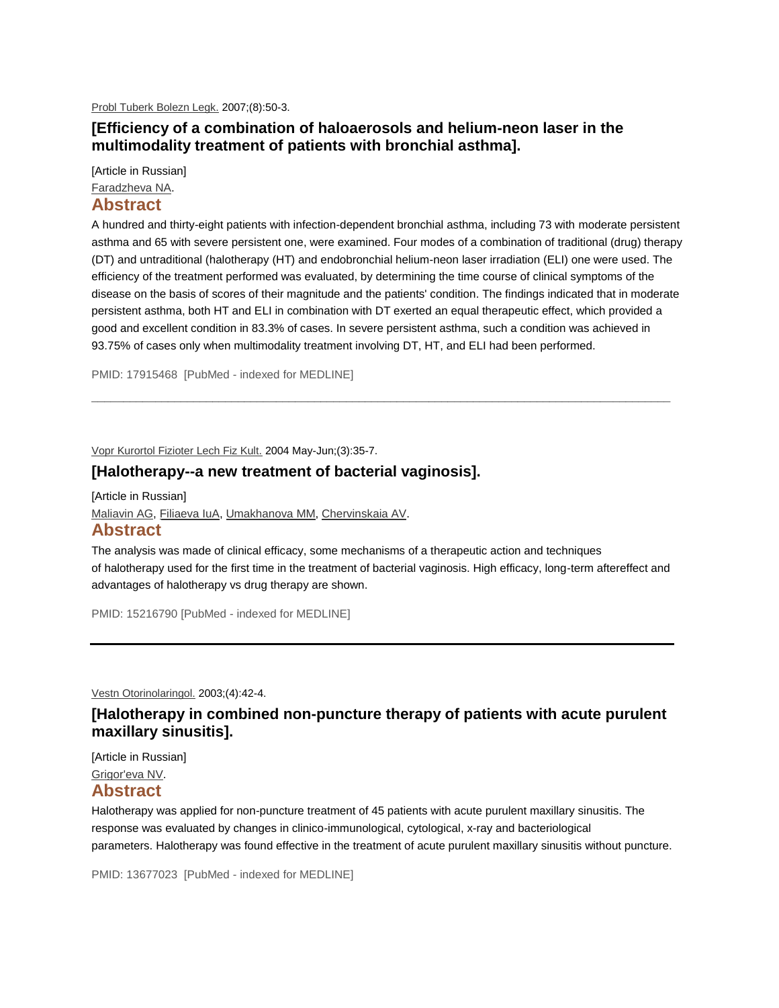[Probl Tuberk Bolezn Legk.](http://www.ncbi.nlm.nih.gov/pubmed/17915468) 2007;(8):50-3.

### **[Efficiency of a combination of haloaerosols and helium-neon laser in the multimodality treatment of patients with bronchial asthma].**

[Article in Russian]

[Faradzheva NA.](http://www.ncbi.nlm.nih.gov/pubmed?term=%22Faradzheva%20NA%22%5BAuthor%5D)

#### **Abstract**

A hundred and thirty-eight patients with infection-dependent bronchial asthma, including 73 with moderate persistent asthma and 65 with severe persistent one, were examined. Four modes of a combination of traditional (drug) therapy (DT) and untraditional (halotherapy (HT) and endobronchial helium-neon laser irradiation (ELI) one were used. The efficiency of the treatment performed was evaluated, by determining the time course of clinical symptoms of the disease on the basis of scores of their magnitude and the patients' condition. The findings indicated that in moderate persistent asthma, both HT and ELI in combination with DT exerted an equal therapeutic effect, which provided a good and excellent condition in 83.3% of cases. In severe persistent asthma, such a condition was achieved in 93.75% of cases only when multimodality treatment involving DT, HT, and ELI had been performed.

 $\bot$  , and the contribution of the contribution of the contribution of the contribution of  $\mathcal{L}_\text{max}$ 

PMID: 17915468 [PubMed - indexed for MEDLINE]

[Vopr Kurortol Fizioter Lech Fiz Kult.](http://www.ncbi.nlm.nih.gov/pubmed/15216790) 2004 May-Jun;(3):35-7.

### **[Halotherapy--a new treatment of bacterial vaginosis].**

[Article in Russian] [Maliavin AG,](http://www.ncbi.nlm.nih.gov/pubmed?term=%22Maliavin%20AG%22%5BAuthor%5D) [Filiaeva IuA,](http://www.ncbi.nlm.nih.gov/pubmed?term=%22Filiaeva%20IuA%22%5BAuthor%5D) [Umakhanova MM,](http://www.ncbi.nlm.nih.gov/pubmed?term=%22Umakhanova%20MM%22%5BAuthor%5D) [Chervinskaia AV.](http://www.ncbi.nlm.nih.gov/pubmed?term=%22Chervinskaia%20AV%22%5BAuthor%5D)

# **Abstract**

The analysis was made of clinical efficacy, some mechanisms of a therapeutic action and techniques of halotherapy used for the first time in the treatment of bacterial vaginosis. High efficacy, long-term aftereffect and advantages of halotherapy vs drug therapy are shown.

PMID: 15216790 [PubMed - indexed for MEDLINE]

[Vestn Otorinolaringol.](http://www.ncbi.nlm.nih.gov/pubmed/13677023) 2003;(4):42-4.

# **[Halotherapy in combined non-puncture therapy of patients with acute purulent maxillary sinusitis].**

[Article in Russian] [Grigor'eva NV.](http://www.ncbi.nlm.nih.gov/pubmed?term=%22Grigor)

#### **Abstract**

Halotherapy was applied for non-puncture treatment of 45 patients with acute purulent maxillary sinusitis. The response was evaluated by changes in clinico-immunological, cytological, x-ray and bacteriological parameters. Halotherapy was found effective in the treatment of acute purulent maxillary sinusitis without puncture.

PMID: 13677023 [PubMed - indexed for MEDLINE]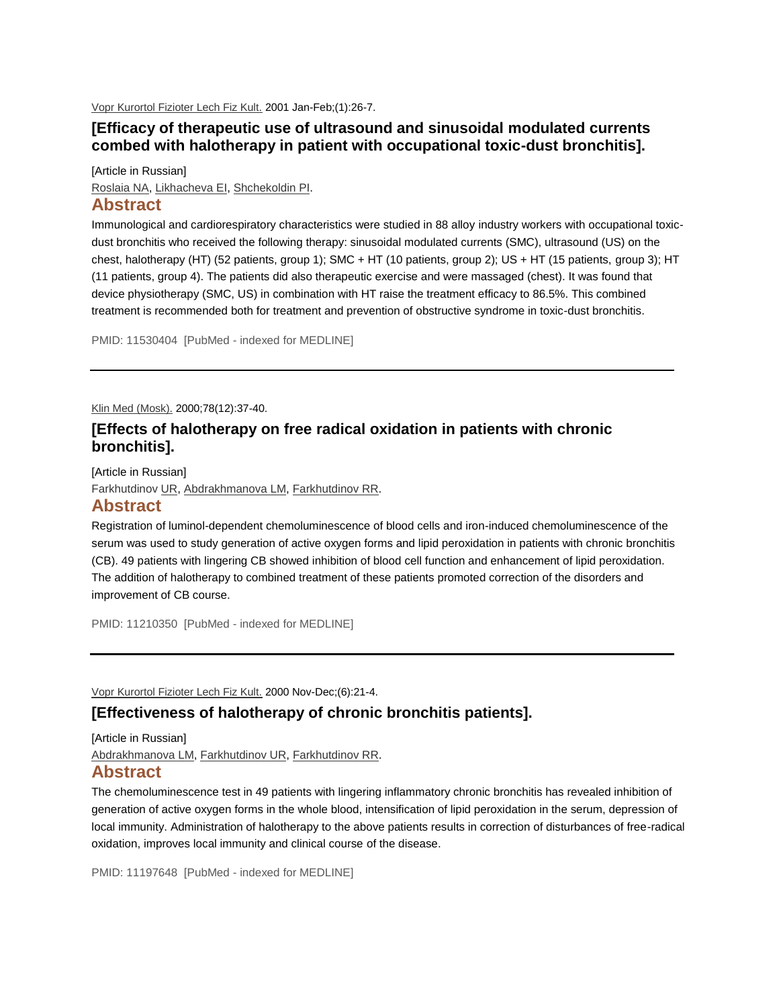[Vopr Kurortol Fizioter Lech Fiz Kult.](http://www.ncbi.nlm.nih.gov/pubmed/11530404) 2001 Jan-Feb;(1):26-7.

### **[Efficacy of therapeutic use of ultrasound and sinusoidal modulated currents combed with halotherapy in patient with occupational toxic-dust bronchitis].**

[Article in Russian]

[Roslaia NA,](http://www.ncbi.nlm.nih.gov/pubmed?term=%22Roslaia%20NA%22%5BAuthor%5D) [Likhacheva EI,](http://www.ncbi.nlm.nih.gov/pubmed?term=%22Likhacheva%20EI%22%5BAuthor%5D) [Shchekoldin PI.](http://www.ncbi.nlm.nih.gov/pubmed?term=%22Shchekoldin%20PI%22%5BAuthor%5D)

#### **Abstract**

Immunological and cardiorespiratory characteristics were studied in 88 alloy industry workers with occupational toxicdust bronchitis who received the following therapy: sinusoidal modulated currents (SMC), ultrasound (US) on the chest, halotherapy (HT) (52 patients, group 1); SMC + HT (10 patients, group 2); US + HT (15 patients, group 3); HT (11 patients, group 4). The patients did also therapeutic exercise and were massaged (chest). It was found that device physiotherapy (SMC, US) in combination with HT raise the treatment efficacy to 86.5%. This combined treatment is recommended both for treatment and prevention of obstructive syndrome in toxic-dust bronchitis.

PMID: 11530404 [PubMed - indexed for MEDLINE]

[Klin Med \(Mosk\).](http://www.ncbi.nlm.nih.gov/pubmed/11210350) 2000;78(12):37-40.

# **[Effects of halotherapy on free radical oxidation in patients with chronic bronchitis].**

[Article in Russian] [Farkhutdinov UR,](http://www.ncbi.nlm.nih.gov/pubmed?term=%22Farkhutdinov%20UR%22%5BAuthor%5D) [Abdrakhmanova LM,](http://www.ncbi.nlm.nih.gov/pubmed?term=%22Abdrakhmanova%20LM%22%5BAuthor%5D) [Farkhutdinov RR.](http://www.ncbi.nlm.nih.gov/pubmed?term=%22Farkhutdinov%20RR%22%5BAuthor%5D)

### **Abstract**

Registration of luminol-dependent chemoluminescence of blood cells and iron-induced chemoluminescence of the serum was used to study generation of active oxygen forms and lipid peroxidation in patients with chronic bronchitis (CB). 49 patients with lingering CB showed inhibition of blood cell function and enhancement of lipid peroxidation. The addition of halotherapy to combined treatment of these patients promoted correction of the disorders and improvement of CB course.

PMID: 11210350 [PubMed - indexed for MEDLINE]

[Vopr Kurortol Fizioter Lech Fiz Kult.](http://www.ncbi.nlm.nih.gov/pubmed/11197648) 2000 Nov-Dec;(6):21-4.

### **[Effectiveness of halotherapy of chronic bronchitis patients].**

[Article in Russian] [Abdrakhmanova LM,](http://www.ncbi.nlm.nih.gov/pubmed?term=%22Abdrakhmanova%20LM%22%5BAuthor%5D) [Farkhutdinov UR,](http://www.ncbi.nlm.nih.gov/pubmed?term=%22Farkhutdinov%20UR%22%5BAuthor%5D) [Farkhutdinov RR.](http://www.ncbi.nlm.nih.gov/pubmed?term=%22Farkhutdinov%20RR%22%5BAuthor%5D)

#### **Abstract**

The chemoluminescence test in 49 patients with lingering inflammatory chronic bronchitis has revealed inhibition of generation of active oxygen forms in the whole blood, intensification of lipid peroxidation in the serum, depression of local immunity. Administration of halotherapy to the above patients results in correction of disturbances of free-radical oxidation, improves local immunity and clinical course of the disease.

PMID: 11197648 [PubMed - indexed for MEDLINE]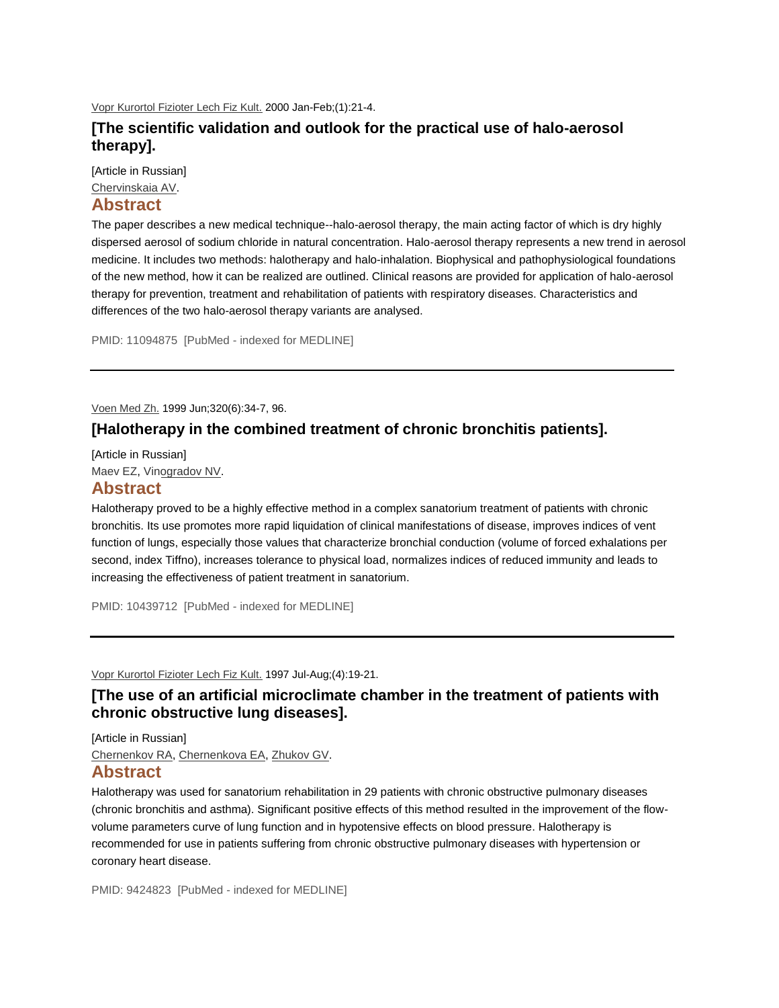[Vopr Kurortol Fizioter Lech Fiz Kult.](http://www.ncbi.nlm.nih.gov/pubmed/11094875) 2000 Jan-Feb;(1):21-4.

## **[The scientific validation and outlook for the practical use of halo-aerosol therapy].**

[Article in Russian]

# [Chervinskaia AV.](http://www.ncbi.nlm.nih.gov/pubmed?term=%22Chervinskaia%20AV%22%5BAuthor%5D)

## **Abstract**

The paper describes a new medical technique--halo-aerosol therapy, the main acting factor of which is dry highly dispersed aerosol of sodium chloride in natural concentration. Halo-aerosol therapy represents a new trend in aerosol medicine. It includes two methods: halotherapy and halo-inhalation. Biophysical and pathophysiological foundations of the new method, how it can be realized are outlined. Clinical reasons are provided for application of halo-aerosol therapy for prevention, treatment and rehabilitation of patients with respiratory diseases. Characteristics and differences of the two halo-aerosol therapy variants are analysed.

PMID: 11094875 [PubMed - indexed for MEDLINE]

[Voen Med Zh.](http://www.ncbi.nlm.nih.gov/pubmed/10439712) 1999 Jun;320(6):34-7, 96.

### **[Halotherapy in the combined treatment of chronic bronchitis patients].**

[Article in Russian] [Maev EZ,](http://www.ncbi.nlm.nih.gov/pubmed?term=%22Maev%20EZ%22%5BAuthor%5D) [Vinogradov NV.](http://www.ncbi.nlm.nih.gov/pubmed?term=%22Vinogradov%20NV%22%5BAuthor%5D)

### **Abstract**

Halotherapy proved to be a highly effective method in a complex sanatorium treatment of patients with chronic bronchitis. Its use promotes more rapid liquidation of clinical manifestations of disease, improves indices of vent function of lungs, especially those values that characterize bronchial conduction (volume of forced exhalations per second, index Tiffno), increases tolerance to physical load, normalizes indices of reduced immunity and leads to increasing the effectiveness of patient treatment in sanatorium.

PMID: 10439712 [PubMed - indexed for MEDLINE]

[Vopr Kurortol Fizioter Lech Fiz Kult.](http://www.ncbi.nlm.nih.gov/pubmed/9424823) 1997 Jul-Aug;(4):19-21.

# **[The use of an artificial microclimate chamber in the treatment of patients with chronic obstructive lung diseases].**

[Article in Russian] [Chernenkov RA,](http://www.ncbi.nlm.nih.gov/pubmed?term=%22Chernenkov%20RA%22%5BAuthor%5D) [Chernenkova EA,](http://www.ncbi.nlm.nih.gov/pubmed?term=%22Chernenkova%20EA%22%5BAuthor%5D) [Zhukov GV.](http://www.ncbi.nlm.nih.gov/pubmed?term=%22Zhukov%20GV%22%5BAuthor%5D)

### **Abstract**

Halotherapy was used for sanatorium rehabilitation in 29 patients with chronic obstructive pulmonary diseases (chronic bronchitis and asthma). Significant positive effects of this method resulted in the improvement of the flowvolume parameters curve of lung function and in hypotensive effects on blood pressure. Halotherapy is recommended for use in patients suffering from chronic obstructive pulmonary diseases with hypertension or coronary heart disease.

PMID: 9424823 [PubMed - indexed for MEDLINE]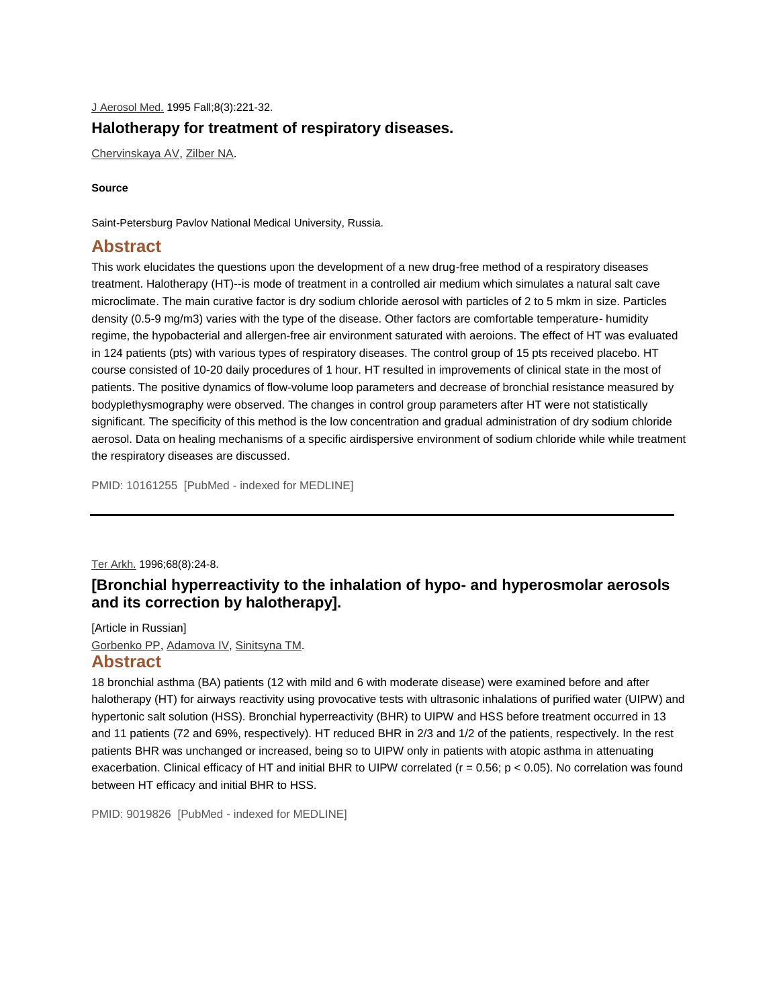# [J Aerosol Med.](http://www.ncbi.nlm.nih.gov/pubmed/10161255) 1995 Fall;8(3):221-32. **Halotherapy for treatment of respiratory diseases.**

[Chervinskaya AV,](http://www.ncbi.nlm.nih.gov/pubmed?term=%22Chervinskaya%20AV%22%5BAuthor%5D) [Zilber NA.](http://www.ncbi.nlm.nih.gov/pubmed?term=%22Zilber%20NA%22%5BAuthor%5D)

#### **Source**

Saint-Petersburg Pavlov National Medical University, Russia.

# **Abstract**

This work elucidates the questions upon the development of a new drug-free method of a respiratory diseases treatment. Halotherapy (HT)--is mode of treatment in a controlled air medium which simulates a natural salt cave microclimate. The main curative factor is dry sodium chloride aerosol with particles of 2 to 5 mkm in size. Particles density (0.5-9 mg/m3) varies with the type of the disease. Other factors are comfortable temperature- humidity regime, the hypobacterial and allergen-free air environment saturated with aeroions. The effect of HT was evaluated in 124 patients (pts) with various types of respiratory diseases. The control group of 15 pts received placebo. HT course consisted of 10-20 daily procedures of 1 hour. HT resulted in improvements of clinical state in the most of patients. The positive dynamics of flow-volume loop parameters and decrease of bronchial resistance measured by bodyplethysmography were observed. The changes in control group parameters after HT were not statistically significant. The specificity of this method is the low concentration and gradual administration of dry sodium chloride aerosol. Data on healing mechanisms of a specific airdispersive environment of sodium chloride while while treatment the respiratory diseases are discussed.

PMID: 10161255 [PubMed - indexed for MEDLINE]

[Ter Arkh.](http://www.ncbi.nlm.nih.gov/pubmed/9019826) 1996;68(8):24-8.

# **[Bronchial hyperreactivity to the inhalation of hypo- and hyperosmolar aerosols and its correction by halotherapy].**

[Article in Russian] [Gorbenko PP,](http://www.ncbi.nlm.nih.gov/pubmed?term=%22Gorbenko%20PP%22%5BAuthor%5D) [Adamova IV,](http://www.ncbi.nlm.nih.gov/pubmed?term=%22Adamova%20IV%22%5BAuthor%5D) [Sinitsyna TM.](http://www.ncbi.nlm.nih.gov/pubmed?term=%22Sinitsyna%20TM%22%5BAuthor%5D)

### **Abstract**

18 bronchial asthma (BA) patients (12 with mild and 6 with moderate disease) were examined before and after halotherapy (HT) for airways reactivity using provocative tests with ultrasonic inhalations of purified water (UIPW) and hypertonic salt solution (HSS). Bronchial hyperreactivity (BHR) to UIPW and HSS before treatment occurred in 13 and 11 patients (72 and 69%, respectively). HT reduced BHR in 2/3 and 1/2 of the patients, respectively. In the rest patients BHR was unchanged or increased, being so to UIPW only in patients with atopic asthma in attenuating exacerbation. Clinical efficacy of HT and initial BHR to UIPW correlated ( $r = 0.56$ ;  $p < 0.05$ ). No correlation was found between HT efficacy and initial BHR to HSS.

PMID: 9019826 [PubMed - indexed for MEDLINE]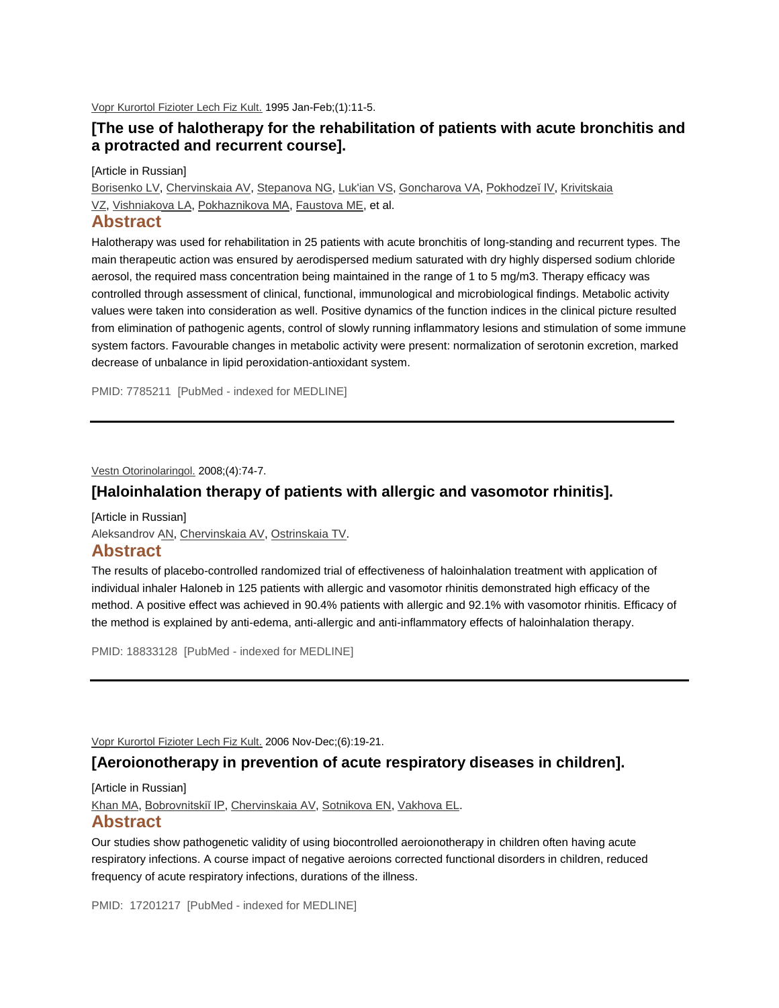[Vopr Kurortol Fizioter Lech Fiz Kult.](http://www.ncbi.nlm.nih.gov/pubmed/7785211) 1995 Jan-Feb;(1):11-5.

## **[The use of halotherapy for the rehabilitation of patients with acute bronchitis and a protracted and recurrent course].**

[Article in Russian]

[Borisenko LV,](http://www.ncbi.nlm.nih.gov/pubmed?term=%22Borisenko%20LV%22%5BAuthor%5D) [Chervinskaia AV,](http://www.ncbi.nlm.nih.gov/pubmed?term=%22Chervinskaia%20AV%22%5BAuthor%5D) [Stepanova NG,](http://www.ncbi.nlm.nih.gov/pubmed?term=%22Stepanova%20NG%22%5BAuthor%5D) [Luk'ian VS,](http://www.ncbi.nlm.nih.gov/pubmed?term=%22Luk) [Goncharova VA,](http://www.ncbi.nlm.nih.gov/pubmed?term=%22Goncharova%20VA%22%5BAuthor%5D) [Pokhodzeĭ IV,](http://www.ncbi.nlm.nih.gov/pubmed?term=%22Pokhodze%C4%AD%20IV%22%5BAuthor%5D) Krivitskaia [VZ,](http://www.ncbi.nlm.nih.gov/pubmed?term=%22Krivitskaia%20VZ%22%5BAuthor%5D) [Vishniakova LA,](http://www.ncbi.nlm.nih.gov/pubmed?term=%22Vishniakova%20LA%22%5BAuthor%5D) [Pokhaznikova MA,](http://www.ncbi.nlm.nih.gov/pubmed?term=%22Pokhaznikova%20MA%22%5BAuthor%5D) [Faustova ME,](http://www.ncbi.nlm.nih.gov/pubmed?term=%22Faustova%20ME%22%5BAuthor%5D) et al.

### **Abstract**

Halotherapy was used for rehabilitation in 25 patients with acute bronchitis of long-standing and recurrent types. The main therapeutic action was ensured by aerodispersed medium saturated with dry highly dispersed sodium chloride aerosol, the required mass concentration being maintained in the range of 1 to 5 mg/m3. Therapy efficacy was controlled through assessment of clinical, functional, immunological and microbiological findings. Metabolic activity values were taken into consideration as well. Positive dynamics of the function indices in the clinical picture resulted from elimination of pathogenic agents, control of slowly running inflammatory lesions and stimulation of some immune system factors. Favourable changes in metabolic activity were present: normalization of serotonin excretion, marked decrease of unbalance in lipid peroxidation-antioxidant system.

PMID: 7785211 [PubMed - indexed for MEDLINE]

[Vestn Otorinolaringol.](http://www.ncbi.nlm.nih.gov/pubmed/18833128) 2008;(4):74-7.

### **[Haloinhalation therapy of patients with allergic and vasomotor rhinitis].**

[Article in Russian] [Aleksandrov AN,](http://www.ncbi.nlm.nih.gov/pubmed?term=%22Aleksandrov%20AN%22%5BAuthor%5D) [Chervinskaia AV,](http://www.ncbi.nlm.nih.gov/pubmed?term=%22Chervinskaia%20AV%22%5BAuthor%5D) [Ostrinskaia TV.](http://www.ncbi.nlm.nih.gov/pubmed?term=%22Ostrinskaia%20TV%22%5BAuthor%5D)

# **Abstract**

The results of placebo-controlled randomized trial of effectiveness of haloinhalation treatment with application of individual inhaler Haloneb in 125 patients with allergic and vasomotor rhinitis demonstrated high efficacy of the method. A positive effect was achieved in 90.4% patients with allergic and 92.1% with vasomotor rhinitis. Efficacy of the method is explained by anti-edema, anti-allergic and anti-inflammatory effects of haloinhalation therapy.

PMID: 18833128 [PubMed - indexed for MEDLINE]

Vopr Kurortol [Fizioter Lech Fiz Kult.](http://www.ncbi.nlm.nih.gov/pubmed/17201217) 2006 Nov-Dec;(6):19-21.

### **[Aeroionotherapy in prevention of acute respiratory diseases in children].**

[Article in Russian] [Khan MA,](http://www.ncbi.nlm.nih.gov/pubmed?term=%22Khan%20MA%22%5BAuthor%5D) [Bobrovnitskiĭ IP,](http://www.ncbi.nlm.nih.gov/pubmed?term=%22Bobrovnitski%C4%AD%20IP%22%5BAuthor%5D) [Chervinskaia AV,](http://www.ncbi.nlm.nih.gov/pubmed?term=%22Chervinskaia%20AV%22%5BAuthor%5D) [Sotnikova EN,](http://www.ncbi.nlm.nih.gov/pubmed?term=%22Sotnikova%20EN%22%5BAuthor%5D) [Vakhova EL.](http://www.ncbi.nlm.nih.gov/pubmed?term=%22Vakhova%20EL%22%5BAuthor%5D) **Abstract**

Our studies show pathogenetic validity of using biocontrolled aeroionotherapy in children often having acute respiratory infections. A course impact of negative aeroions corrected functional disorders in children, reduced frequency of acute respiratory infections, durations of the illness.

PMID: 17201217 [PubMed - indexed for MEDLINE]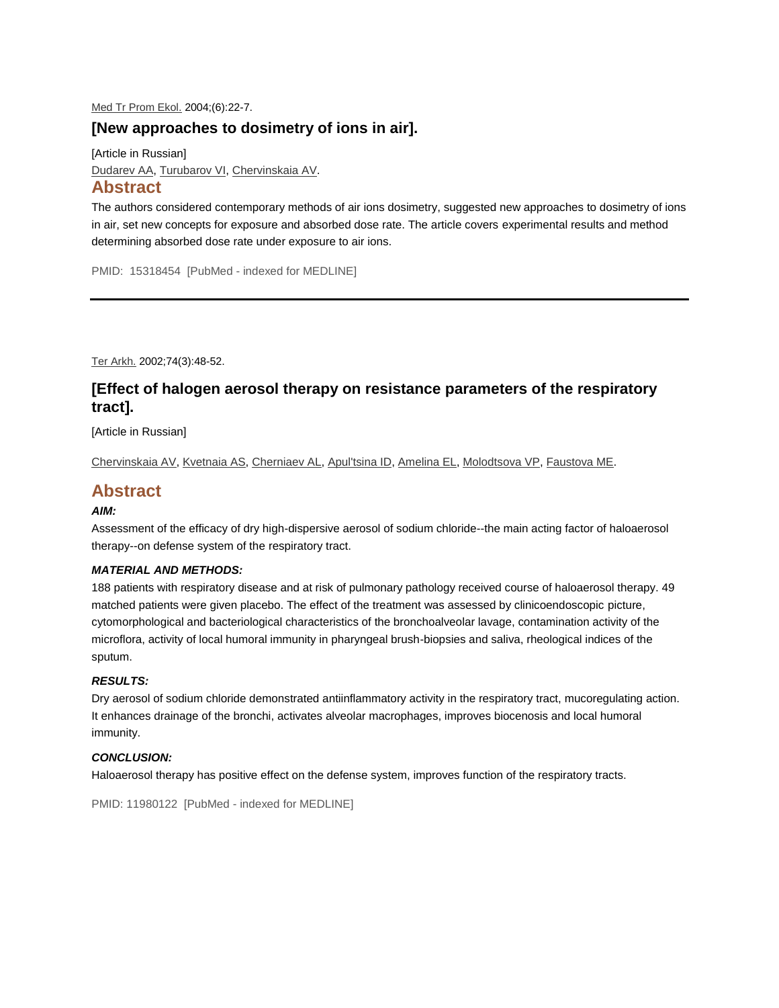#### [Med Tr Prom Ekol.](http://www.ncbi.nlm.nih.gov/pubmed/15318454) 2004;(6):22-7.

### **[New approaches to dosimetry of ions in air].**

[Article in Russian] [Dudarev AA,](http://www.ncbi.nlm.nih.gov/pubmed?term=%22Dudarev%20AA%22%5BAuthor%5D) [Turubarov VI,](http://www.ncbi.nlm.nih.gov/pubmed?term=%22Turubarov%20VI%22%5BAuthor%5D) [Chervinskaia AV.](http://www.ncbi.nlm.nih.gov/pubmed?term=%22Chervinskaia%20AV%22%5BAuthor%5D)

# **Abstract**

The authors considered contemporary methods of air ions dosimetry, suggested new approaches to dosimetry of ions in air, set new concepts for exposure and absorbed dose rate. The article covers experimental results and method determining absorbed dose rate under exposure to air ions.

PMID: 15318454 [PubMed - indexed for MEDLINE]

[Ter Arkh.](http://www.ncbi.nlm.nih.gov/pubmed/11980122) 2002;74(3):48-52.

# **[Effect of halogen aerosol therapy on resistance parameters of the respiratory tract].**

[Article in Russian]

[Chervinskaia AV,](http://www.ncbi.nlm.nih.gov/pubmed?term=%22Chervinskaia%20AV%22%5BAuthor%5D) [Kvetnaia AS,](http://www.ncbi.nlm.nih.gov/pubmed?term=%22Kvetnaia%20AS%22%5BAuthor%5D) [Cherniaev AL,](http://www.ncbi.nlm.nih.gov/pubmed?term=%22Cherniaev%20AL%22%5BAuthor%5D) [Apul'tsina ID,](http://www.ncbi.nlm.nih.gov/pubmed?term=%22Apul) [Amelina EL,](http://www.ncbi.nlm.nih.gov/pubmed?term=%22Amelina%20EL%22%5BAuthor%5D) [Molodtsova VP,](http://www.ncbi.nlm.nih.gov/pubmed?term=%22Molodtsova%20VP%22%5BAuthor%5D) [Faustova ME.](http://www.ncbi.nlm.nih.gov/pubmed?term=%22Faustova%20ME%22%5BAuthor%5D)

# **Abstract**

#### *AIM:*

Assessment of the efficacy of dry high-dispersive aerosol of sodium chloride--the main acting factor of haloaerosol therapy--on defense system of the respiratory tract.

#### *MATERIAL AND METHODS:*

188 patients with respiratory disease and at risk of pulmonary pathology received course of haloaerosol therapy. 49 matched patients were given placebo. The effect of the treatment was assessed by clinicoendoscopic picture, cytomorphological and bacteriological characteristics of the bronchoalveolar lavage, contamination activity of the microflora, activity of local humoral immunity in pharyngeal brush-biopsies and saliva, rheological indices of the sputum.

#### *RESULTS:*

Dry aerosol of sodium chloride demonstrated antiinflammatory activity in the respiratory tract, mucoregulating action. It enhances drainage of the bronchi, activates alveolar macrophages, improves biocenosis and local humoral immunity.

#### *CONCLUSION:*

Haloaerosol therapy has positive effect on the defense system, improves function of the respiratory tracts.

```
PMID: 11980122 [PubMed - indexed for MEDLINE]
```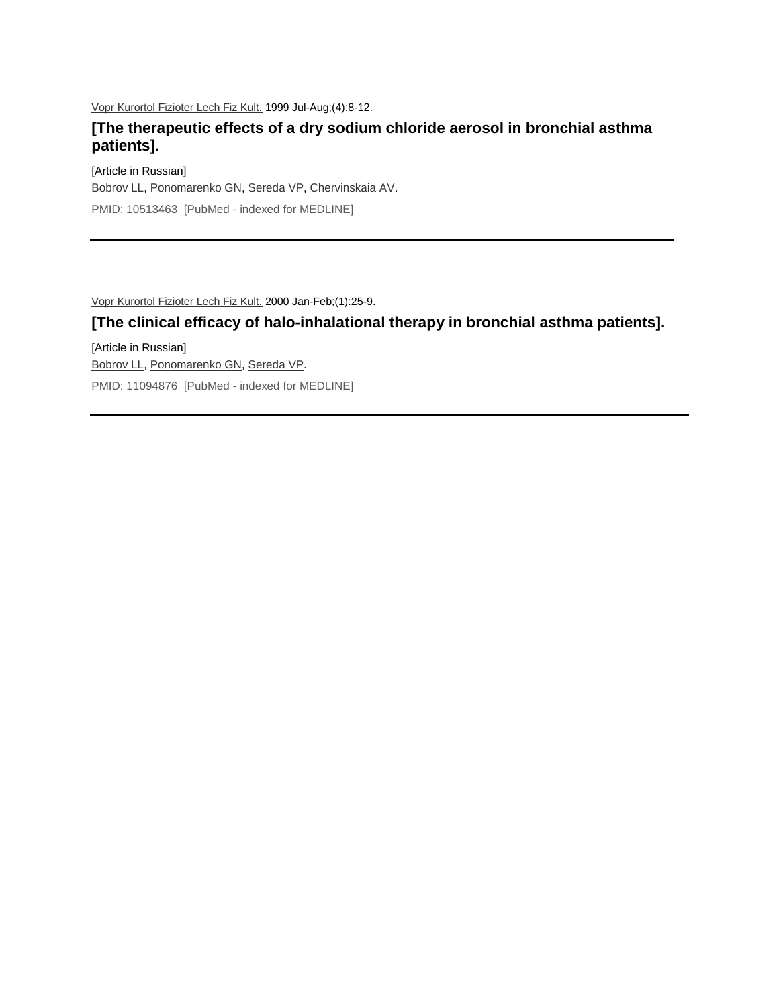[Vopr Kurortol Fizioter Lech Fiz Kult.](http://www.ncbi.nlm.nih.gov/pubmed/10513463) 1999 Jul-Aug;(4):8-12.

# **[The therapeutic effects of a dry sodium chloride aerosol in bronchial asthma patients].**

[Article in Russian] [Bobrov LL,](http://www.ncbi.nlm.nih.gov/pubmed?term=%22Bobrov%20LL%22%5BAuthor%5D) [Ponomarenko GN,](http://www.ncbi.nlm.nih.gov/pubmed?term=%22Ponomarenko%20GN%22%5BAuthor%5D) [Sereda VP,](http://www.ncbi.nlm.nih.gov/pubmed?term=%22Sereda%20VP%22%5BAuthor%5D) [Chervinskaia AV.](http://www.ncbi.nlm.nih.gov/pubmed?term=%22Chervinskaia%20AV%22%5BAuthor%5D) PMID: 10513463 [PubMed - indexed for MEDLINE]

[Vopr Kurortol Fizioter Lech Fiz Kult.](http://www.ncbi.nlm.nih.gov/pubmed/11094876) 2000 Jan-Feb;(1):25-9.

# **[The clinical efficacy of halo-inhalational therapy in bronchial asthma patients].**

[Article in Russian] [Bobrov LL,](http://www.ncbi.nlm.nih.gov/pubmed?term=%22Bobrov%20LL%22%5BAuthor%5D) [Ponomarenko GN,](http://www.ncbi.nlm.nih.gov/pubmed?term=%22Ponomarenko%20GN%22%5BAuthor%5D) [Sereda VP.](http://www.ncbi.nlm.nih.gov/pubmed?term=%22Sereda%20VP%22%5BAuthor%5D) PMID: 11094876 [PubMed - indexed for MEDLINE]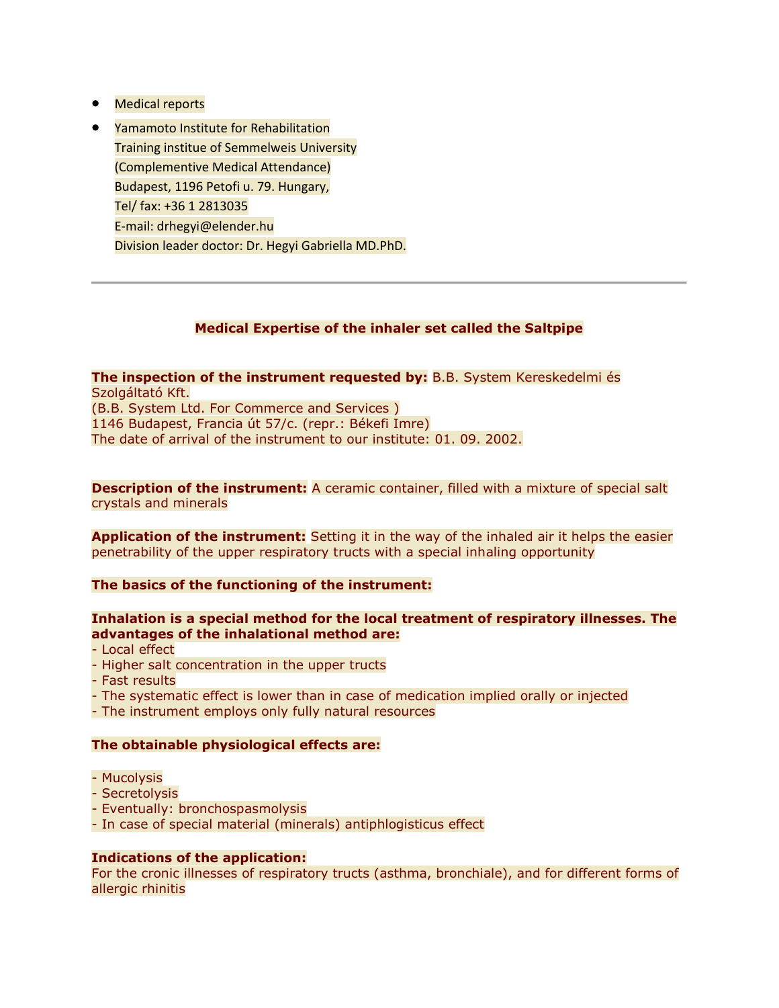- Medical reports
- **Yamamoto Institute for Rehabilitation** Training institue of Semmelweis University (Complementive Medical Attendance) Budapest, 1196 Petofi u. 79. Hungary, Tel/ fax: +36 1 2813035 E-mail: drhegyi@elender.hu Division leader doctor: Dr. Hegyi Gabriella MD.PhD.

### **Medical Expertise of the inhaler set called the Saltpipe**

**The inspection of the instrument requested by:** B.B. System Kereskedelmi és Szolgáltató Kft. (B.B. System Ltd. For Commerce and Services ) 1146 Budapest, Francia út 57/c. (repr.: Békefi Imre) The date of arrival of the instrument to our institute: 01. 09. 2002.

**Description of the instrument:** A ceramic container, filled with a mixture of special salt crystals and minerals

**Application of the instrument:** Setting it in the way of the inhaled air it helps the easier penetrability of the upper respiratory tructs with a special inhaling opportunity

#### **The basics of the functioning of the instrument:**

#### **Inhalation is a special method for the local treatment of respiratory illnesses. The advantages of the inhalational method are:**

- Local effect
- Higher salt concentration in the upper tructs
- Fast results
- The systematic effect is lower than in case of medication implied orally or injected
- The instrument employs only fully natural resources

#### **The obtainable physiological effects are:**

- Mucolysis
- Secretolysis
- Eventually: bronchospasmolysis
- In case of special material (minerals) antiphlogisticus effect

#### **Indications of the application:**

For the cronic illnesses of respiratory tructs (asthma, bronchiale), and for different forms of allergic rhinitis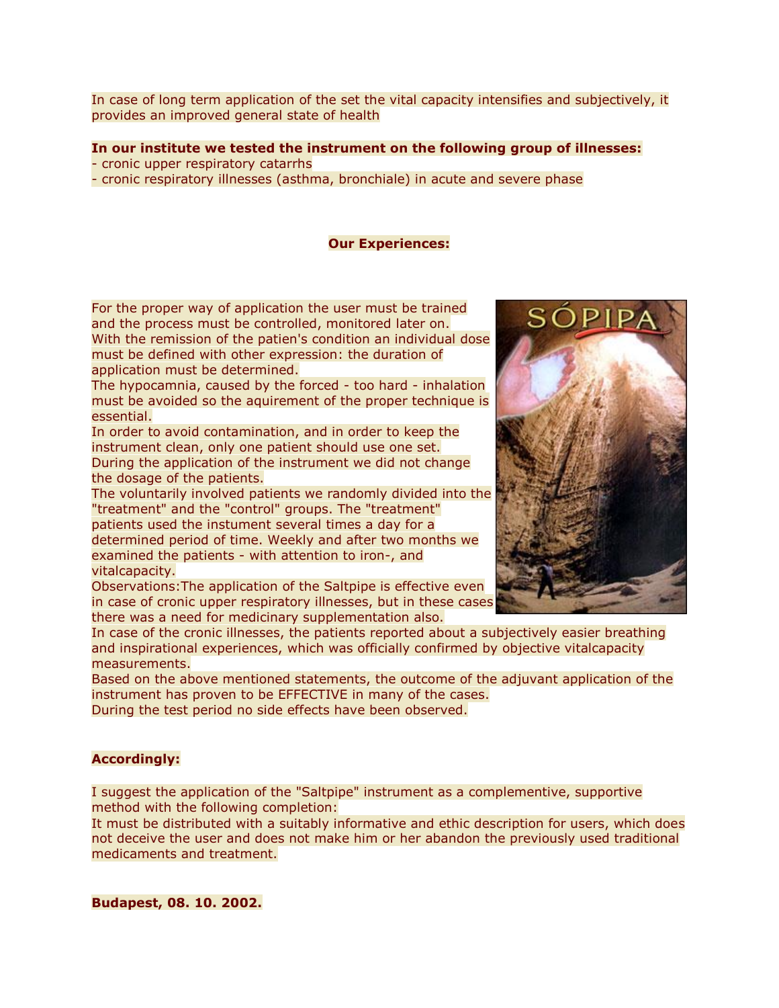In case of long term application of the set the vital capacity intensifies and subjectively, it provides an improved general state of health

#### **In our institute we tested the instrument on the following group of illnesses:** - cronic upper respiratory catarrhs

- cronic respiratory illnesses (asthma, bronchiale) in acute and severe phase

#### **Our Experiences:**

For the proper way of application the user must be trained and the process must be controlled, monitored later on. With the remission of the patien's condition an individual dose must be defined with other expression: the duration of application must be determined.

The hypocamnia, caused by the forced - too hard - inhalation must be avoided so the aquirement of the proper technique is essential.

In order to avoid contamination, and in order to keep the instrument clean, only one patient should use one set. During the application of the instrument we did not change the dosage of the patients.

The voluntarily involved patients we randomly divided into the "treatment" and the "control" groups. The "treatment" patients used the instument several times a day for a determined period of time. Weekly and after two months we examined the patients - with attention to iron-, and vitalcapacity.

Observations:The application of the Saltpipe is effective even in case of cronic upper respiratory illnesses, but in these cases there was a need for medicinary supplementation also.

In case of the cronic illnesses, the patients reported about a subjectively easier breathing and inspirational experiences, which was officially confirmed by objective vitalcapacity measurements.

Based on the above mentioned statements, the outcome of the adjuvant application of the instrument has proven to be EFFECTIVE in many of the cases. During the test period no side effects have been observed.

#### **Accordingly:**

I suggest the application of the "Saltpipe" instrument as a complementive, supportive method with the following completion:

It must be distributed with a suitably informative and ethic description for users, which does not deceive the user and does not make him or her abandon the previously used traditional medicaments and treatment.

**Budapest, 08. 10. 2002.**

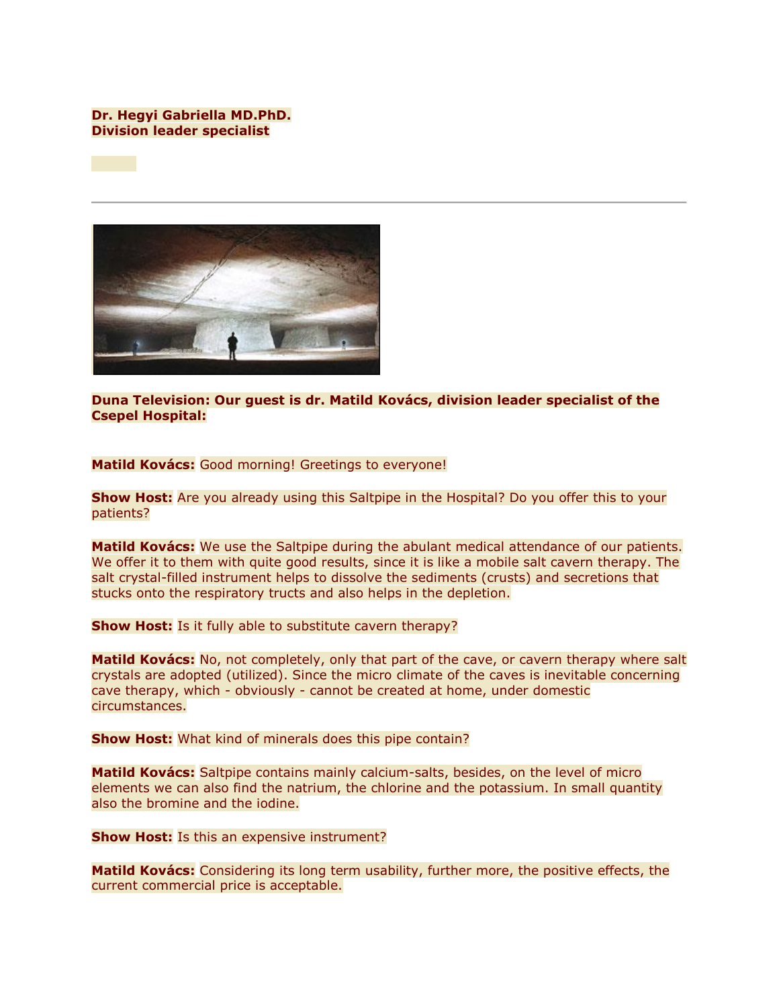#### **Dr. Hegyi Gabriella MD.PhD. Division leader specialist**



**Duna Television: Our guest is dr. Matild Kovács, division leader specialist of the Csepel Hospital:**

**Matild Kovács:** Good morning! Greetings to everyone!

**Show Host:** Are you already using this Saltpipe in the Hospital? Do you offer this to your patients?

**Matild Kovács:** We use the Saltpipe during the abulant medical attendance of our patients. We offer it to them with quite good results, since it is like a mobile salt cavern therapy. The salt crystal-filled instrument helps to dissolve the sediments (crusts) and secretions that stucks onto the respiratory tructs and also helps in the depletion.

**Show Host:** Is it fully able to substitute cavern therapy?

**Matild Kovács:** No, not completely, only that part of the cave, or cavern therapy where salt crystals are adopted (utilized). Since the micro climate of the caves is inevitable concerning cave therapy, which - obviously - cannot be created at home, under domestic circumstances.

**Show Host:** What kind of minerals does this pipe contain?

**Matild Kovács:** Saltpipe contains mainly calcium-salts, besides, on the level of micro elements we can also find the natrium, the chlorine and the potassium. In small quantity also the bromine and the iodine.

**Show Host:** Is this an expensive instrument?

**Matild Kovács:** Considering its long term usability, further more, the positive effects, the current commercial price is acceptable.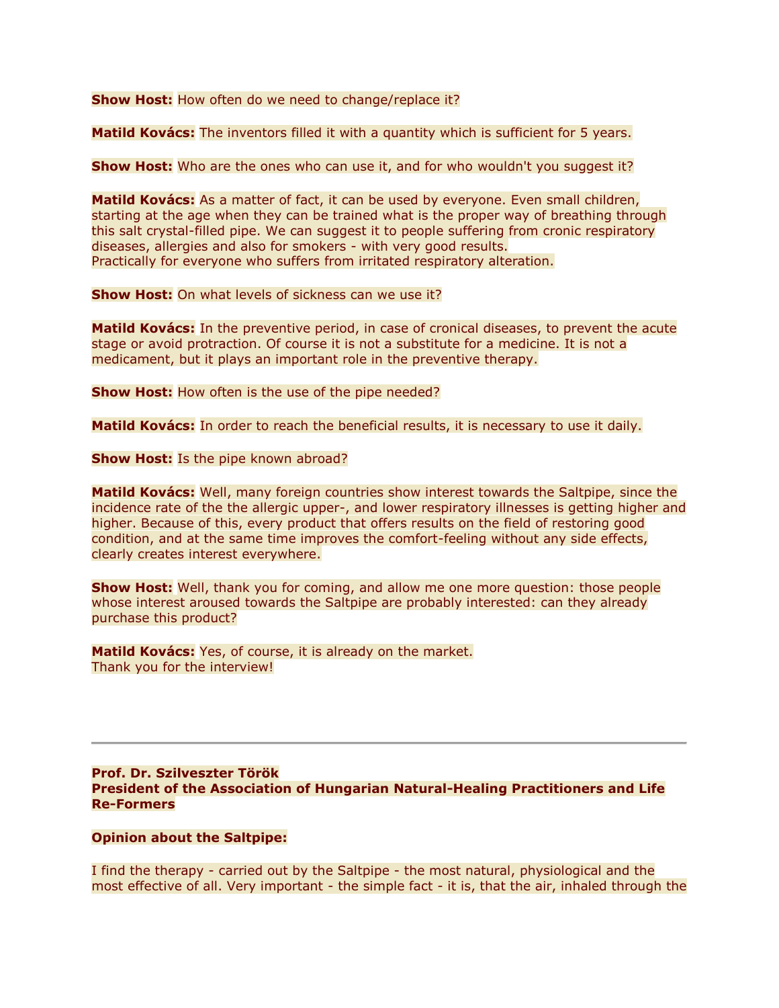**Show Host:** How often do we need to change/replace it?

**Matild Kovács:** The inventors filled it with a quantity which is sufficient for 5 years.

**Show Host:** Who are the ones who can use it, and for who wouldn't you suggest it?

**Matild Kovács:** As a matter of fact, it can be used by everyone. Even small children, starting at the age when they can be trained what is the proper way of breathing through this salt crystal-filled pipe. We can suggest it to people suffering from cronic respiratory diseases, allergies and also for smokers - with very good results. Practically for everyone who suffers from irritated respiratory alteration.

**Show Host:** On what levels of sickness can we use it?

**Matild Kovács:** In the preventive period, in case of cronical diseases, to prevent the acute stage or avoid protraction. Of course it is not a substitute for a medicine. It is not a medicament, but it plays an important role in the preventive therapy.

**Show Host:** How often is the use of the pipe needed?

**Matild Kovács:** In order to reach the beneficial results, it is necessary to use it daily.

**Show Host:** Is the pipe known abroad?

**Matild Kovács:** Well, many foreign countries show interest towards the Saltpipe, since the incidence rate of the the allergic upper-, and lower respiratory illnesses is getting higher and higher. Because of this, every product that offers results on the field of restoring good condition, and at the same time improves the comfort-feeling without any side effects, clearly creates interest everywhere.

**Show Host:** Well, thank you for coming, and allow me one more question: those people whose interest aroused towards the Saltpipe are probably interested: can they already purchase this product?

**Matild Kovács:** Yes, of course, it is already on the market. Thank you for the interview!

#### **Prof. Dr. Szilveszter Török President of the Association of Hungarian Natural-Healing Practitioners and Life Re-Formers**

#### **Opinion about the Saltpipe:**

I find the therapy - carried out by the Saltpipe - the most natural, physiological and the most effective of all. Very important - the simple fact - it is, that the air, inhaled through the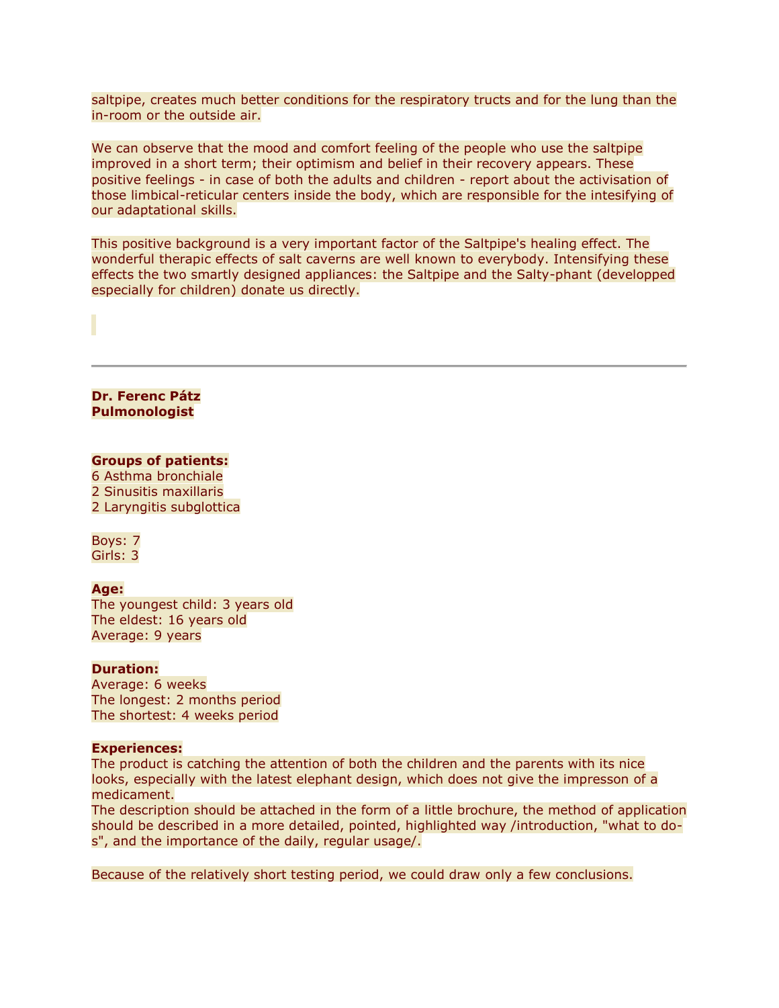saltpipe, creates much better conditions for the respiratory tructs and for the lung than the in-room or the outside air.

We can observe that the mood and comfort feeling of the people who use the saltpipe improved in a short term; their optimism and belief in their recovery appears. These positive feelings - in case of both the adults and children - report about the activisation of those limbical-reticular centers inside the body, which are responsible for the intesifying of our adaptational skills.

This positive background is a very important factor of the Saltpipe's healing effect. The wonderful therapic effects of salt caverns are well known to everybody. Intensifying these effects the two smartly designed appliances: the Saltpipe and the Salty-phant (developped especially for children) donate us directly.

**Dr. Ferenc Pátz Pulmonologist**

#### **Groups of patients:**

6 Asthma bronchiale 2 Sinusitis maxillaris 2 Laryngitis subglottica

Boys: 7 Girls: 3

#### **Age:**

The youngest child: 3 years old The eldest: 16 years old Average: 9 years

#### **Duration:**

Average: 6 weeks The longest: 2 months period The shortest: 4 weeks period

#### **Experiences:**

The product is catching the attention of both the children and the parents with its nice looks, especially with the latest elephant design, which does not give the impresson of a medicament.

The description should be attached in the form of a little brochure, the method of application should be described in a more detailed, pointed, highlighted way /introduction, "what to dos", and the importance of the daily, regular usage/.

Because of the relatively short testing period, we could draw only a few conclusions.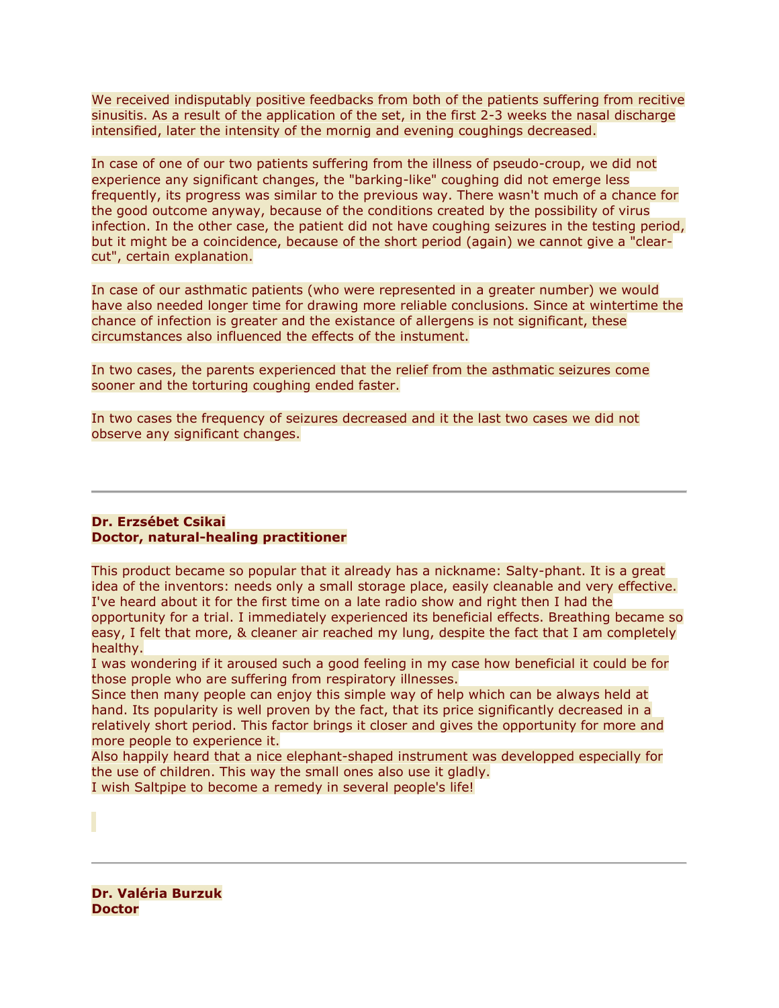We received indisputably positive feedbacks from both of the patients suffering from recitive sinusitis. As a result of the application of the set, in the first 2-3 weeks the nasal discharge intensified, later the intensity of the mornig and evening coughings decreased.

In case of one of our two patients suffering from the illness of pseudo-croup, we did not experience any significant changes, the "barking-like" coughing did not emerge less frequently, its progress was similar to the previous way. There wasn't much of a chance for the good outcome anyway, because of the conditions created by the possibility of virus infection. In the other case, the patient did not have coughing seizures in the testing period, but it might be a coincidence, because of the short period (again) we cannot give a "clearcut", certain explanation.

In case of our asthmatic patients (who were represented in a greater number) we would have also needed longer time for drawing more reliable conclusions. Since at wintertime the chance of infection is greater and the existance of allergens is not significant, these circumstances also influenced the effects of the instument.

In two cases, the parents experienced that the relief from the asthmatic seizures come sooner and the torturing coughing ended faster.

In two cases the frequency of seizures decreased and it the last two cases we did not observe any significant changes.

#### **Dr. Erzsébet Csikai Doctor, natural-healing practitioner**

This product became so popular that it already has a nickname: Salty-phant. It is a great idea of the inventors: needs only a small storage place, easily cleanable and very effective. I've heard about it for the first time on a late radio show and right then I had the opportunity for a trial. I immediately experienced its beneficial effects. Breathing became so easy, I felt that more, & cleaner air reached my lung, despite the fact that I am completely healthy.

I was wondering if it aroused such a good feeling in my case how beneficial it could be for those prople who are suffering from respiratory illnesses.

Since then many people can enjoy this simple way of help which can be always held at hand. Its popularity is well proven by the fact, that its price significantly decreased in a relatively short period. This factor brings it closer and gives the opportunity for more and more people to experience it.

Also happily heard that a nice elephant-shaped instrument was developped especially for the use of children. This way the small ones also use it gladly.

I wish Saltpipe to become a remedy in several people's life!